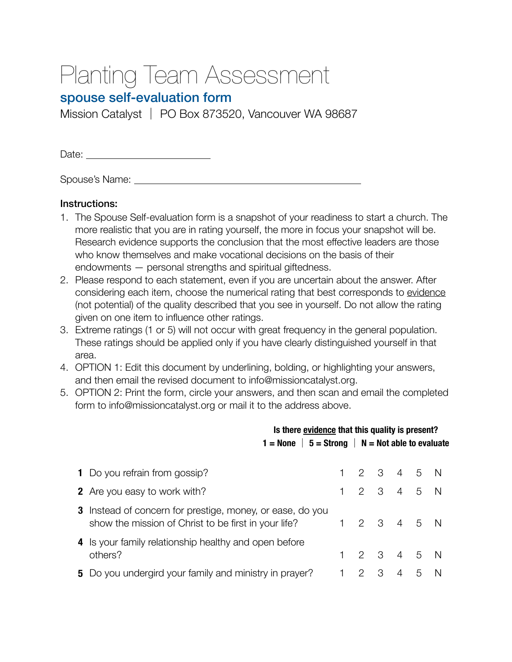## Planting Team Assessment

## spouse self-evaluation form

Mission Catalyst │ PO Box 873520, Vancouver WA 98687

Date: 

Spouse's Name: 

## Instructions:

- 1. The Spouse Self-evaluation form is a snapshot of your readiness to start a church. The more realistic that you are in rating yourself, the more in focus your snapshot will be. Research evidence supports the conclusion that the most effective leaders are those who know themselves and make vocational decisions on the basis of their endowments — personal strengths and spiritual giftedness.
- 2. Please respond to each statement, even if you are uncertain about the answer. After considering each item, choose the numerical rating that best corresponds to evidence (not potential) of the quality described that you see in yourself. Do not allow the rating given on one item to influence other ratings.
- 3. Extreme ratings (1 or 5) will not occur with great frequency in the general population. These ratings should be applied only if you have clearly distinguished yourself in that area.
- 4. OPTION 1: Edit this document by underlining, bolding, or highlighting your answers, and then email the revised document to info@missioncatalyst.org.
- 5. OPTION 2: Print the form, circle your answers, and then scan and email the completed form to info@missioncatalyst.org or mail it to the address above.

|                                                                                                                          |                                                                | Is there evidence that this quality is present? |                     |   |   |     |  |  |  |
|--------------------------------------------------------------------------------------------------------------------------|----------------------------------------------------------------|-------------------------------------------------|---------------------|---|---|-----|--|--|--|
|                                                                                                                          | $1 =$ None $\vert 5 =$ Strong $\vert N =$ Not able to evaluate |                                                 |                     |   |   |     |  |  |  |
|                                                                                                                          |                                                                |                                                 |                     |   |   |     |  |  |  |
| <b>1</b> Do you refrain from gossip?                                                                                     |                                                                |                                                 | 2 3 4 5 N           |   |   |     |  |  |  |
| <b>2</b> Are you easy to work with?                                                                                      |                                                                |                                                 | 2 3 4 5 N           |   |   |     |  |  |  |
| <b>3</b> Instead of concern for prestige, money, or ease, do you<br>show the mission of Christ to be first in your life? |                                                                |                                                 | 2 3 4 5 N           |   |   |     |  |  |  |
| 4 Is your family relationship healthy and open before<br>others?                                                         |                                                                |                                                 | $2 \t3 \t4 \t5 \tN$ |   |   |     |  |  |  |
| 5 Do you undergird your family and ministry in prayer?                                                                   |                                                                | 2                                               | 3                   | 4 | 5 | - N |  |  |  |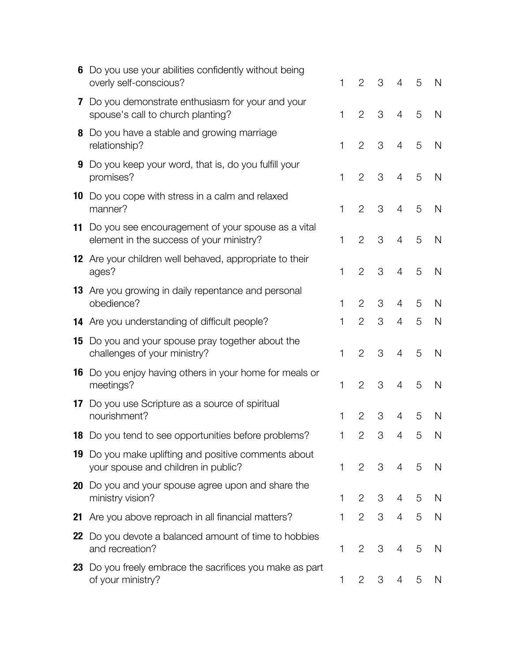| 6  | Do you use your abilities confidently without being<br>overly self-conscious?                      | 1            | 2              | 3 | $\overline{4}$ | 5 | N            |
|----|----------------------------------------------------------------------------------------------------|--------------|----------------|---|----------------|---|--------------|
|    | 7 Do you demonstrate enthusiasm for your and your<br>spouse's call to church planting?             | 1            | $\overline{2}$ | 3 | $\overline{4}$ | 5 | N            |
|    | 8 Do you have a stable and growing marriage<br>relationship?                                       | $\mathbf{1}$ | $\overline{2}$ | 3 | $\overline{4}$ | 5 | N            |
|    | <b>9</b> Do you keep your word, that is, do you fulfill your<br>promises?                          | 1            | $\overline{2}$ | 3 | 4              | 5 | N            |
|    | <b>10</b> Do you cope with stress in a calm and relaxed<br>manner?                                 | 1            | $\overline{2}$ | 3 | 4              | 5 | N            |
|    | 11 Do you see encouragement of your spouse as a vital<br>element in the success of your ministry?  | 1            | $\overline{2}$ | 3 | 4              | 5 | N            |
|    | 12 Are your children well behaved, appropriate to their<br>ages?                                   | 1            | $\overline{2}$ | 3 | $\overline{4}$ | 5 | N            |
|    | 13 Are you growing in daily repentance and personal<br>obedience?                                  | 1            | 2              | 3 | 4              | 5 | N            |
|    | 14 Are you understanding of difficult people?                                                      | 1            | $\overline{2}$ | 3 | 4              | 5 | N            |
| 15 | Do you and your spouse pray together about the<br>challenges of your ministry?                     | 1            | $\overline{2}$ | 3 | 4              | 5 | N            |
|    | <b>16</b> Do you enjoy having others in your home for meals or<br>meetings?                        | 1            | $\overline{2}$ | 3 | $\overline{4}$ | 5 | N            |
|    | 17 Do you use Scripture as a source of spiritual<br>nourishment?                                   | 1            | $\overline{2}$ | 3 | 4              | 5 | N            |
|    | 18 Do you tend to see opportunities before problems?                                               | 1            | $\overline{2}$ | 3 | 4              | 5 | N            |
|    | <b>19</b> Do you make uplifting and positive comments about<br>your spouse and children in public? | 1            | 2              | 3 | $\overline{4}$ | 5 | $\mathsf{N}$ |
|    | <b>20</b> Do you and your spouse agree upon and share the<br>ministry vision?                      | 1            | $\overline{2}$ | 3 | 4              | 5 | N            |
| 21 | Are you above reproach in all financial matters?                                                   | 1            | $\overline{2}$ | 3 | $\overline{4}$ | 5 | N            |
| 22 | Do you devote a balanced amount of time to hobbies<br>and recreation?                              | 1            | $\overline{2}$ | 3 | 4              | 5 | N            |
|    | 23 Do you freely embrace the sacrifices you make as part<br>of your ministry?                      | 1            | 2              | 3 | 4              | 5 | N            |